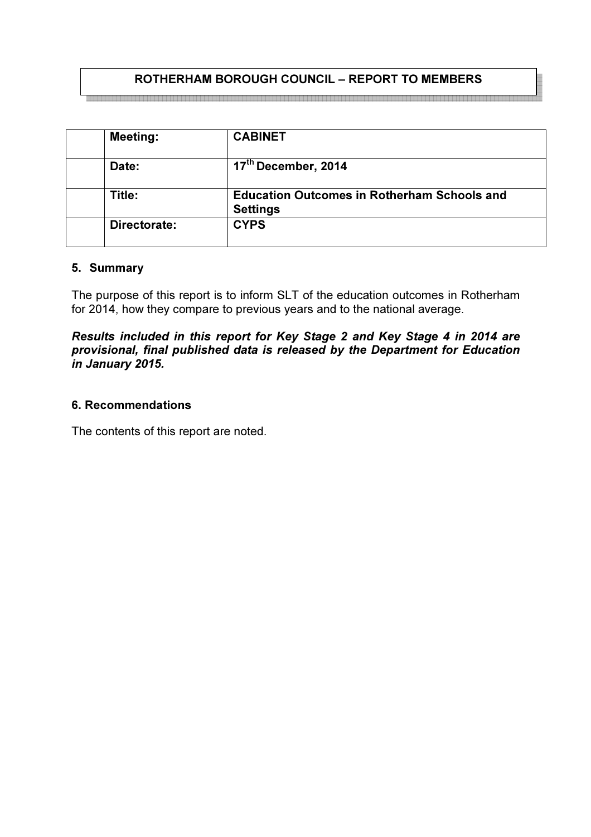## ROTHERHAM BOROUGH COUNCIL – REPORT TO MEMBERS

| <b>Meeting:</b> | <b>CABINET</b>                                                        |
|-----------------|-----------------------------------------------------------------------|
| Date:           | 17th December, 2014                                                   |
| Title:          | <b>Education Outcomes in Rotherham Schools and</b><br><b>Settings</b> |
| Directorate:    | <b>CYPS</b>                                                           |

#### 5. Summary

The purpose of this report is to inform SLT of the education outcomes in Rotherham for 2014, how they compare to previous years and to the national average.

Results included in this report for Key Stage 2 and Key Stage 4 in 2014 are provisional, final published data is released by the Department for Education in January 2015.

## 6. Recommendations

The contents of this report are noted.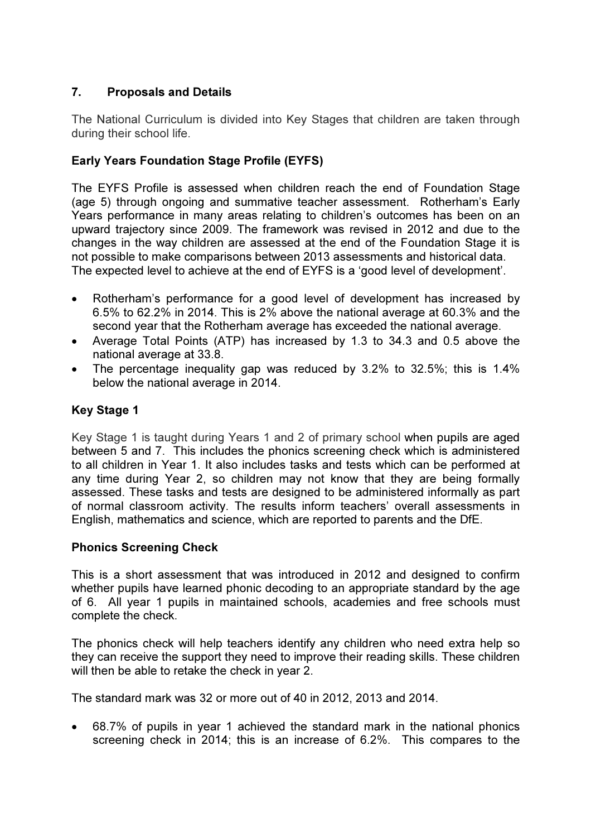# 7. Proposals and Details

The National Curriculum is divided into Key Stages that children are taken through during their school life.

# Early Years Foundation Stage Profile (EYFS)

The EYFS Profile is assessed when children reach the end of Foundation Stage (age 5) through ongoing and summative teacher assessment. Rotherham's Early Years performance in many areas relating to children's outcomes has been on an upward trajectory since 2009. The framework was revised in 2012 and due to the changes in the way children are assessed at the end of the Foundation Stage it is not possible to make comparisons between 2013 assessments and historical data. The expected level to achieve at the end of EYFS is a 'good level of development'.

- Rotherham's performance for a good level of development has increased by 6.5% to 62.2% in 2014. This is 2% above the national average at 60.3% and the second year that the Rotherham average has exceeded the national average.
- Average Total Points (ATP) has increased by 1.3 to 34.3 and 0.5 above the national average at 33.8.
- The percentage inequality gap was reduced by 3.2% to 32.5%; this is 1.4% below the national average in 2014.

# Key Stage 1

Key Stage 1 is taught during Years 1 and 2 of primary school when pupils are aged between 5 and 7. This includes the phonics screening check which is administered to all children in Year 1. It also includes tasks and tests which can be performed at any time during Year 2, so children may not know that they are being formally assessed. These tasks and tests are designed to be administered informally as part of normal classroom activity. The results inform teachers' overall assessments in English, mathematics and science, which are reported to parents and the DfE.

## Phonics Screening Check

This is a short assessment that was introduced in 2012 and designed to confirm whether pupils have learned phonic decoding to an appropriate standard by the age of 6. All year 1 pupils in maintained schools, academies and free schools must complete the check.

The phonics check will help teachers identify any children who need extra help so they can receive the support they need to improve their reading skills. These children will then be able to retake the check in year 2.

The standard mark was 32 or more out of 40 in 2012, 2013 and 2014.

• 68.7% of pupils in year 1 achieved the standard mark in the national phonics screening check in 2014; this is an increase of 6.2%. This compares to the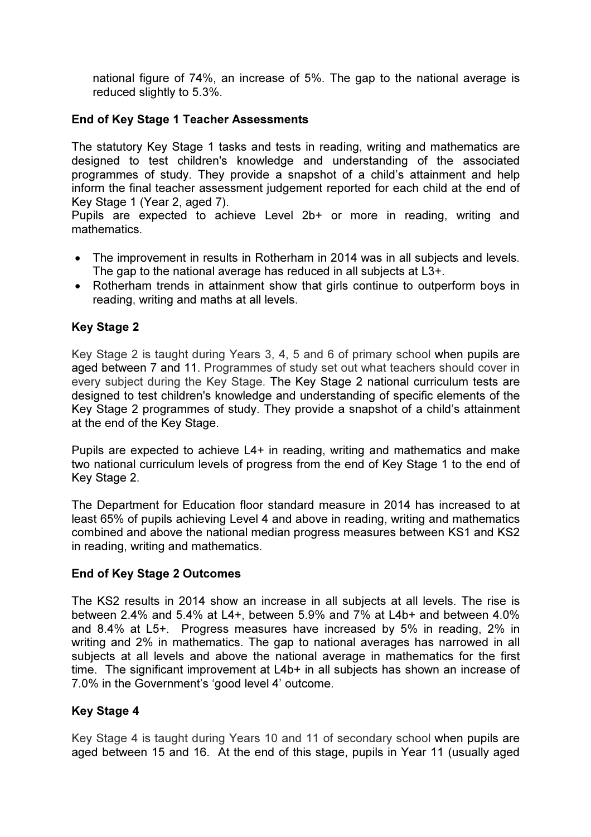national figure of 74%, an increase of 5%. The gap to the national average is reduced slightly to 5.3%.

## End of Key Stage 1 Teacher Assessments

The statutory Key Stage 1 tasks and tests in reading, writing and mathematics are designed to test children's knowledge and understanding of the associated programmes of study. They provide a snapshot of a child's attainment and help inform the final teacher assessment judgement reported for each child at the end of Key Stage 1 (Year 2, aged 7).

Pupils are expected to achieve Level 2b+ or more in reading, writing and mathematics.

- The improvement in results in Rotherham in 2014 was in all subjects and levels. The gap to the national average has reduced in all subjects at L3+.
- Rotherham trends in attainment show that girls continue to outperform boys in reading, writing and maths at all levels.

## Key Stage 2

Key Stage 2 is taught during Years 3, 4, 5 and 6 of primary school when pupils are aged between 7 and 11. Programmes of study set out what teachers should cover in every subject during the Key Stage. The Key Stage 2 national curriculum tests are designed to test children's knowledge and understanding of specific elements of the Key Stage 2 programmes of study. They provide a snapshot of a child's attainment at the end of the Key Stage.

Pupils are expected to achieve L4+ in reading, writing and mathematics and make two national curriculum levels of progress from the end of Key Stage 1 to the end of Key Stage 2.

The Department for Education floor standard measure in 2014 has increased to at least 65% of pupils achieving Level 4 and above in reading, writing and mathematics combined and above the national median progress measures between KS1 and KS2 in reading, writing and mathematics.

## End of Key Stage 2 Outcomes

The KS2 results in 2014 show an increase in all subjects at all levels. The rise is between 2.4% and 5.4% at L4+, between 5.9% and 7% at L4b+ and between 4.0% and 8.4% at L5+. Progress measures have increased by 5% in reading, 2% in writing and 2% in mathematics. The gap to national averages has narrowed in all subjects at all levels and above the national average in mathematics for the first time. The significant improvement at L4b+ in all subjects has shown an increase of 7.0% in the Government's 'good level 4' outcome.

## Key Stage 4

Key Stage 4 is taught during Years 10 and 11 of secondary school when pupils are aged between 15 and 16. At the end of this stage, pupils in Year 11 (usually aged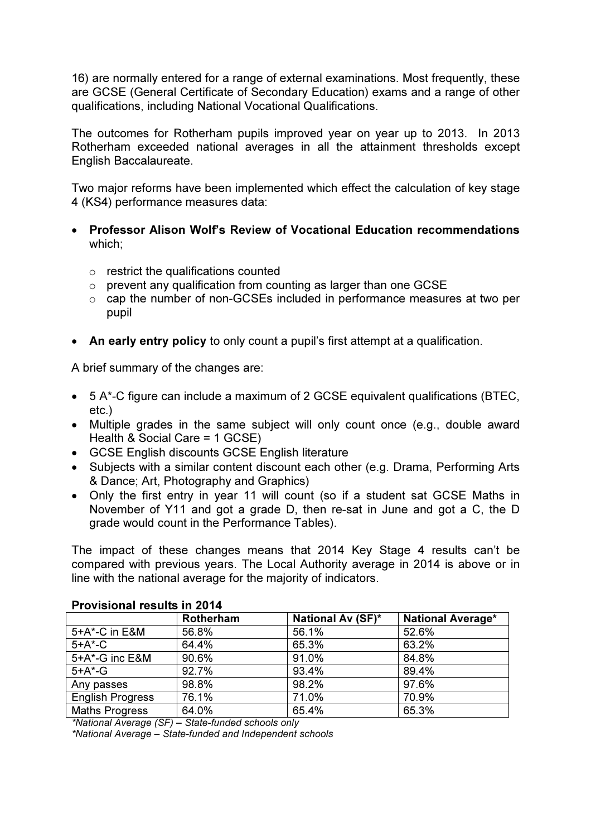16) are normally entered for a range of external examinations. Most frequently, these are GCSE (General Certificate of Secondary Education) exams and a range of other qualifications, including National Vocational Qualifications.

The outcomes for Rotherham pupils improved year on year up to 2013. In 2013 Rotherham exceeded national averages in all the attainment thresholds except English Baccalaureate.

Two major reforms have been implemented which effect the calculation of key stage 4 (KS4) performance measures data:

- Professor Alison Wolf's Review of Vocational Education recommendations which;
	- o restrict the qualifications counted
	- $\circ$  prevent any qualification from counting as larger than one GCSE
	- o cap the number of non-GCSEs included in performance measures at two per pupil
- An early entry policy to only count a pupil's first attempt at a qualification.

A brief summary of the changes are:

- 5 A\*-C figure can include a maximum of 2 GCSE equivalent qualifications (BTEC, etc.)
- Multiple grades in the same subject will only count once (e.g., double award Health & Social Care = 1 GCSE)
- GCSE English discounts GCSE English literature
- Subjects with a similar content discount each other (e.g. Drama, Performing Arts & Dance; Art, Photography and Graphics)
- Only the first entry in year 11 will count (so if a student sat GCSE Maths in November of Y11 and got a grade D, then re-sat in June and got a C, the D grade would count in the Performance Tables).

The impact of these changes means that 2014 Key Stage 4 results can't be compared with previous years. The Local Authority average in 2014 is above or in line with the national average for the majority of indicators.

|                         | <b>Rotherham</b> | <b>National Av (SF)*</b> | <b>National Average*</b> |  |  |
|-------------------------|------------------|--------------------------|--------------------------|--|--|
| 5+A*-C in E&M           | 56.8%            | 56.1%                    | 52.6%                    |  |  |
| $5+A*-C$                | 64.4%            | 65.3%                    | 63.2%                    |  |  |
| 5+A*-G inc E&M          | 90.6%            | 91.0%                    | 84.8%                    |  |  |
| $5+A^*$ -G              | 92.7%            | 93.4%                    | 89.4%                    |  |  |
| Any passes              | 98.8%            | 98.2%                    | 97.6%                    |  |  |
| <b>English Progress</b> | 76.1%            | 71.0%                    | 70.9%                    |  |  |
| <b>Maths Progress</b>   | 64.0%            | 65.4%                    | 65.3%                    |  |  |

#### Provisional results in 2014

\*National Average (SF) – State-funded schools only

\*National Average – State-funded and Independent schools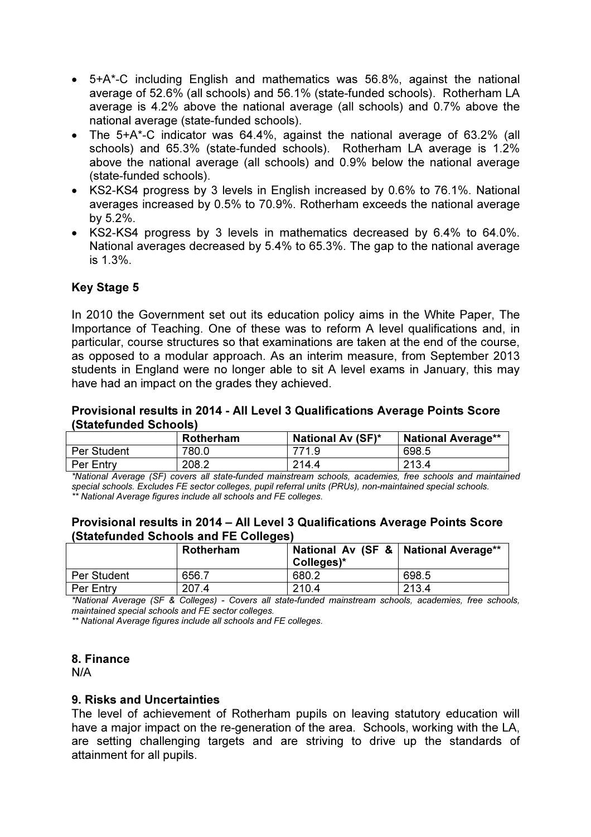- 5+A\*-C including English and mathematics was 56.8%, against the national average of 52.6% (all schools) and 56.1% (state-funded schools). Rotherham LA average is 4.2% above the national average (all schools) and 0.7% above the national average (state-funded schools).
- The 5+A\*-C indicator was 64.4%, against the national average of 63.2% (all schools) and 65.3% (state-funded schools). Rotherham LA average is 1.2% above the national average (all schools) and 0.9% below the national average (state-funded schools).
- KS2-KS4 progress by 3 levels in English increased by 0.6% to 76.1%. National averages increased by 0.5% to 70.9%. Rotherham exceeds the national average by 5.2%.
- KS2-KS4 progress by 3 levels in mathematics decreased by 6.4% to 64.0%. National averages decreased by 5.4% to 65.3%. The gap to the national average is 1.3%.

## Key Stage 5

In 2010 the Government set out its education policy aims in the White Paper, The Importance of Teaching. One of these was to reform A level qualifications and, in particular, course structures so that examinations are taken at the end of the course, as opposed to a modular approach. As an interim measure, from September 2013 students in England were no longer able to sit A level exams in January, this may have had an impact on the grades they achieved.

#### Provisional results in 2014 - All Level 3 Qualifications Average Points Score (Statefunded Schools)

|             | <b>Rotherham</b> | <b>National Av (SF)*</b> | <b>National Average**</b> |
|-------------|------------------|--------------------------|---------------------------|
| Per Student | 780.0            | 771.9                    | 698.5                     |
| Per Entry   | 208.2            | 214.4                    | 213.4                     |

\*National Average (SF) covers all state-funded mainstream schools, academies, free schools and maintained special schools. Excludes FE sector colleges, pupil referral units (PRUs), non-maintained special schools. \*\* National Average figures include all schools and FE colleges.

#### Provisional results in 2014 – All Level 3 Qualifications Average Points Score (Statefunded Schools and FE Colleges)

|             | Rotherham | National Av (SF &   National Average**<br>Colleges)* |       |
|-------------|-----------|------------------------------------------------------|-------|
| Per Student | 656.7     | 680.2                                                | 698.5 |
| Per Entry   | 207.4     | 210.4                                                | 213.4 |

\*National Average (SF & Colleges) - Covers all state-funded mainstream schools, academies, free schools, maintained special schools and FE sector colleges.

\*\* National Average figures include all schools and FE colleges.

#### 8. Finance

N/A

## 9. Risks and Uncertainties

The level of achievement of Rotherham pupils on leaving statutory education will have a major impact on the re-generation of the area. Schools, working with the LA, are setting challenging targets and are striving to drive up the standards of attainment for all pupils.